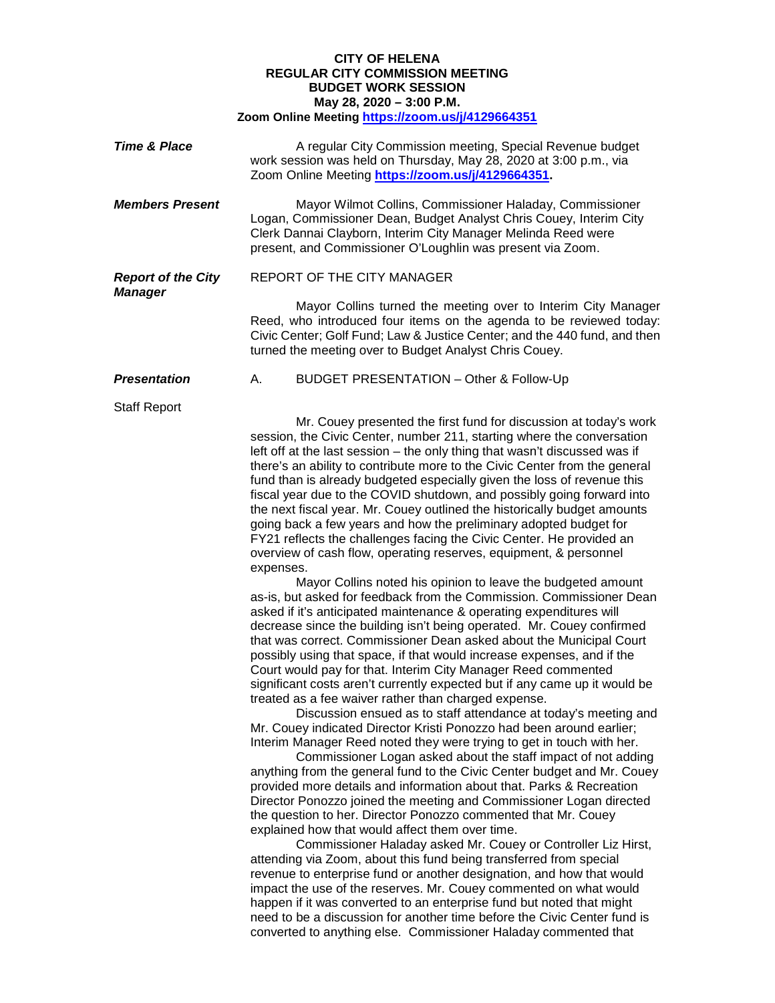## **CITY OF HELENA REGULAR CITY COMMISSION MEETING BUDGET WORK SESSION May 28, 2020 – 3:00 P.M. Zoom Online Meeting<https://zoom.us/j/4129664351>**

| <b>Time &amp; Place</b>                     | A regular City Commission meeting, Special Revenue budget<br>work session was held on Thursday, May 28, 2020 at 3:00 p.m., via<br>Zoom Online Meeting https://zoom.us/j/4129664351                                                                                                                                                                                                                                                                                                                                                                                                                                                                                                                                                                                                                                                                                                                                                                                                                                                                                                                                                                                                                                                                                                                                                                              |
|---------------------------------------------|-----------------------------------------------------------------------------------------------------------------------------------------------------------------------------------------------------------------------------------------------------------------------------------------------------------------------------------------------------------------------------------------------------------------------------------------------------------------------------------------------------------------------------------------------------------------------------------------------------------------------------------------------------------------------------------------------------------------------------------------------------------------------------------------------------------------------------------------------------------------------------------------------------------------------------------------------------------------------------------------------------------------------------------------------------------------------------------------------------------------------------------------------------------------------------------------------------------------------------------------------------------------------------------------------------------------------------------------------------------------|
| <b>Members Present</b>                      | Mayor Wilmot Collins, Commissioner Haladay, Commissioner<br>Logan, Commissioner Dean, Budget Analyst Chris Couey, Interim City<br>Clerk Dannai Clayborn, Interim City Manager Melinda Reed were<br>present, and Commissioner O'Loughlin was present via Zoom.                                                                                                                                                                                                                                                                                                                                                                                                                                                                                                                                                                                                                                                                                                                                                                                                                                                                                                                                                                                                                                                                                                   |
| <b>Report of the City</b><br><b>Manager</b> | REPORT OF THE CITY MANAGER                                                                                                                                                                                                                                                                                                                                                                                                                                                                                                                                                                                                                                                                                                                                                                                                                                                                                                                                                                                                                                                                                                                                                                                                                                                                                                                                      |
|                                             | Mayor Collins turned the meeting over to Interim City Manager<br>Reed, who introduced four items on the agenda to be reviewed today:<br>Civic Center; Golf Fund; Law & Justice Center; and the 440 fund, and then<br>turned the meeting over to Budget Analyst Chris Couey.                                                                                                                                                                                                                                                                                                                                                                                                                                                                                                                                                                                                                                                                                                                                                                                                                                                                                                                                                                                                                                                                                     |
| <b>Presentation</b>                         | <b>BUDGET PRESENTATION - Other &amp; Follow-Up</b><br>А.                                                                                                                                                                                                                                                                                                                                                                                                                                                                                                                                                                                                                                                                                                                                                                                                                                                                                                                                                                                                                                                                                                                                                                                                                                                                                                        |
| <b>Staff Report</b>                         | Mr. Couey presented the first fund for discussion at today's work<br>session, the Civic Center, number 211, starting where the conversation<br>left off at the last session - the only thing that wasn't discussed was if<br>there's an ability to contribute more to the Civic Center from the general<br>fund than is already budgeted especially given the loss of revenue this<br>fiscal year due to the COVID shutdown, and possibly going forward into<br>the next fiscal year. Mr. Couey outlined the historically budget amounts<br>going back a few years and how the preliminary adopted budget for<br>FY21 reflects the challenges facing the Civic Center. He provided an<br>overview of cash flow, operating reserves, equipment, & personnel<br>expenses.<br>Mayor Collins noted his opinion to leave the budgeted amount<br>as-is, but asked for feedback from the Commission. Commissioner Dean<br>asked if it's anticipated maintenance & operating expenditures will<br>decrease since the building isn't being operated. Mr. Couey confirmed<br>that was correct. Commissioner Dean asked about the Municipal Court<br>possibly using that space, if that would increase expenses, and if the<br>Court would pay for that. Interim City Manager Reed commented<br>significant costs aren't currently expected but if any came up it would be |

treated as a fee waiver rather than charged expense. Discussion ensued as to staff attendance at today's meeting and Mr. Couey indicated Director Kristi Ponozzo had been around earlier; Interim Manager Reed noted they were trying to get in touch with her.

Commissioner Logan asked about the staff impact of not adding anything from the general fund to the Civic Center budget and Mr. Couey provided more details and information about that. Parks & Recreation Director Ponozzo joined the meeting and Commissioner Logan directed the question to her. Director Ponozzo commented that Mr. Couey explained how that would affect them over time.

Commissioner Haladay asked Mr. Couey or Controller Liz Hirst, attending via Zoom, about this fund being transferred from special revenue to enterprise fund or another designation, and how that would impact the use of the reserves. Mr. Couey commented on what would happen if it was converted to an enterprise fund but noted that might need to be a discussion for another time before the Civic Center fund is converted to anything else. Commissioner Haladay commented that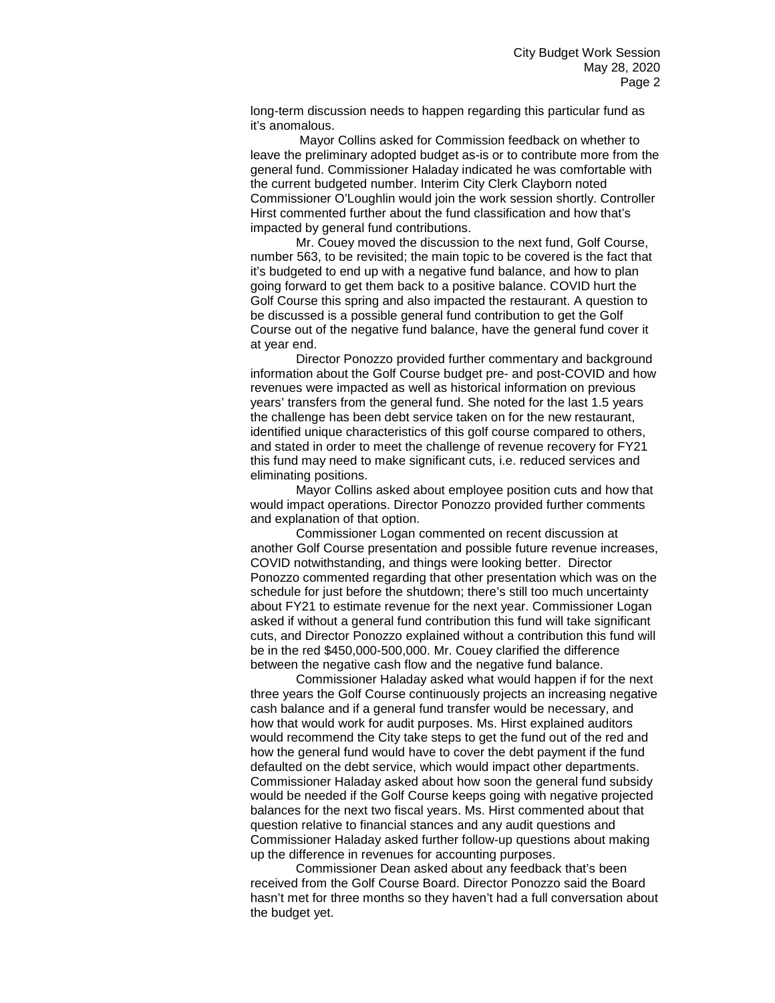long-term discussion needs to happen regarding this particular fund as it's anomalous.

Mayor Collins asked for Commission feedback on whether to leave the preliminary adopted budget as-is or to contribute more from the general fund. Commissioner Haladay indicated he was comfortable with the current budgeted number. Interim City Clerk Clayborn noted Commissioner O'Loughlin would join the work session shortly. Controller Hirst commented further about the fund classification and how that's impacted by general fund contributions.

Mr. Couey moved the discussion to the next fund, Golf Course, number 563, to be revisited; the main topic to be covered is the fact that it's budgeted to end up with a negative fund balance, and how to plan going forward to get them back to a positive balance. COVID hurt the Golf Course this spring and also impacted the restaurant. A question to be discussed is a possible general fund contribution to get the Golf Course out of the negative fund balance, have the general fund cover it at year end.

Director Ponozzo provided further commentary and background information about the Golf Course budget pre- and post-COVID and how revenues were impacted as well as historical information on previous years' transfers from the general fund. She noted for the last 1.5 years the challenge has been debt service taken on for the new restaurant, identified unique characteristics of this golf course compared to others, and stated in order to meet the challenge of revenue recovery for FY21 this fund may need to make significant cuts, i.e. reduced services and eliminating positions.

Mayor Collins asked about employee position cuts and how that would impact operations. Director Ponozzo provided further comments and explanation of that option.

Commissioner Logan commented on recent discussion at another Golf Course presentation and possible future revenue increases, COVID notwithstanding, and things were looking better. Director Ponozzo commented regarding that other presentation which was on the schedule for just before the shutdown; there's still too much uncertainty about FY21 to estimate revenue for the next year. Commissioner Logan asked if without a general fund contribution this fund will take significant cuts, and Director Ponozzo explained without a contribution this fund will be in the red \$450,000-500,000. Mr. Couey clarified the difference between the negative cash flow and the negative fund balance.

Commissioner Haladay asked what would happen if for the next three years the Golf Course continuously projects an increasing negative cash balance and if a general fund transfer would be necessary, and how that would work for audit purposes. Ms. Hirst explained auditors would recommend the City take steps to get the fund out of the red and how the general fund would have to cover the debt payment if the fund defaulted on the debt service, which would impact other departments. Commissioner Haladay asked about how soon the general fund subsidy would be needed if the Golf Course keeps going with negative projected balances for the next two fiscal years. Ms. Hirst commented about that question relative to financial stances and any audit questions and Commissioner Haladay asked further follow-up questions about making up the difference in revenues for accounting purposes.

Commissioner Dean asked about any feedback that's been received from the Golf Course Board. Director Ponozzo said the Board hasn't met for three months so they haven't had a full conversation about the budget yet.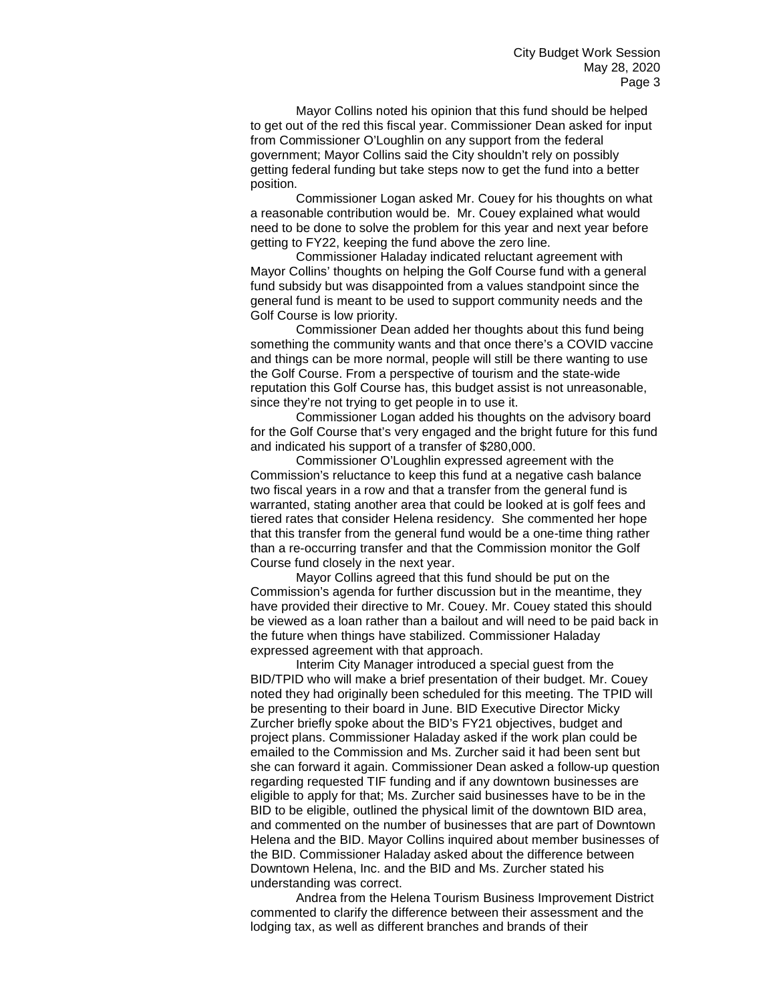Mayor Collins noted his opinion that this fund should be helped to get out of the red this fiscal year. Commissioner Dean asked for input from Commissioner O'Loughlin on any support from the federal government; Mayor Collins said the City shouldn't rely on possibly getting federal funding but take steps now to get the fund into a better position.

Commissioner Logan asked Mr. Couey for his thoughts on what a reasonable contribution would be. Mr. Couey explained what would need to be done to solve the problem for this year and next year before getting to FY22, keeping the fund above the zero line.

Commissioner Haladay indicated reluctant agreement with Mayor Collins' thoughts on helping the Golf Course fund with a general fund subsidy but was disappointed from a values standpoint since the general fund is meant to be used to support community needs and the Golf Course is low priority.

Commissioner Dean added her thoughts about this fund being something the community wants and that once there's a COVID vaccine and things can be more normal, people will still be there wanting to use the Golf Course. From a perspective of tourism and the state-wide reputation this Golf Course has, this budget assist is not unreasonable, since they're not trying to get people in to use it.

Commissioner Logan added his thoughts on the advisory board for the Golf Course that's very engaged and the bright future for this fund and indicated his support of a transfer of \$280,000.

Commissioner O'Loughlin expressed agreement with the Commission's reluctance to keep this fund at a negative cash balance two fiscal years in a row and that a transfer from the general fund is warranted, stating another area that could be looked at is golf fees and tiered rates that consider Helena residency. She commented her hope that this transfer from the general fund would be a one-time thing rather than a re-occurring transfer and that the Commission monitor the Golf Course fund closely in the next year.

Mayor Collins agreed that this fund should be put on the Commission's agenda for further discussion but in the meantime, they have provided their directive to Mr. Couey. Mr. Couey stated this should be viewed as a loan rather than a bailout and will need to be paid back in the future when things have stabilized. Commissioner Haladay expressed agreement with that approach.

Interim City Manager introduced a special guest from the BID/TPID who will make a brief presentation of their budget. Mr. Couey noted they had originally been scheduled for this meeting. The TPID will be presenting to their board in June. BID Executive Director Micky Zurcher briefly spoke about the BID's FY21 objectives, budget and project plans. Commissioner Haladay asked if the work plan could be emailed to the Commission and Ms. Zurcher said it had been sent but she can forward it again. Commissioner Dean asked a follow-up question regarding requested TIF funding and if any downtown businesses are eligible to apply for that; Ms. Zurcher said businesses have to be in the BID to be eligible, outlined the physical limit of the downtown BID area, and commented on the number of businesses that are part of Downtown Helena and the BID. Mayor Collins inquired about member businesses of the BID. Commissioner Haladay asked about the difference between Downtown Helena, Inc. and the BID and Ms. Zurcher stated his understanding was correct.

Andrea from the Helena Tourism Business Improvement District commented to clarify the difference between their assessment and the lodging tax, as well as different branches and brands of their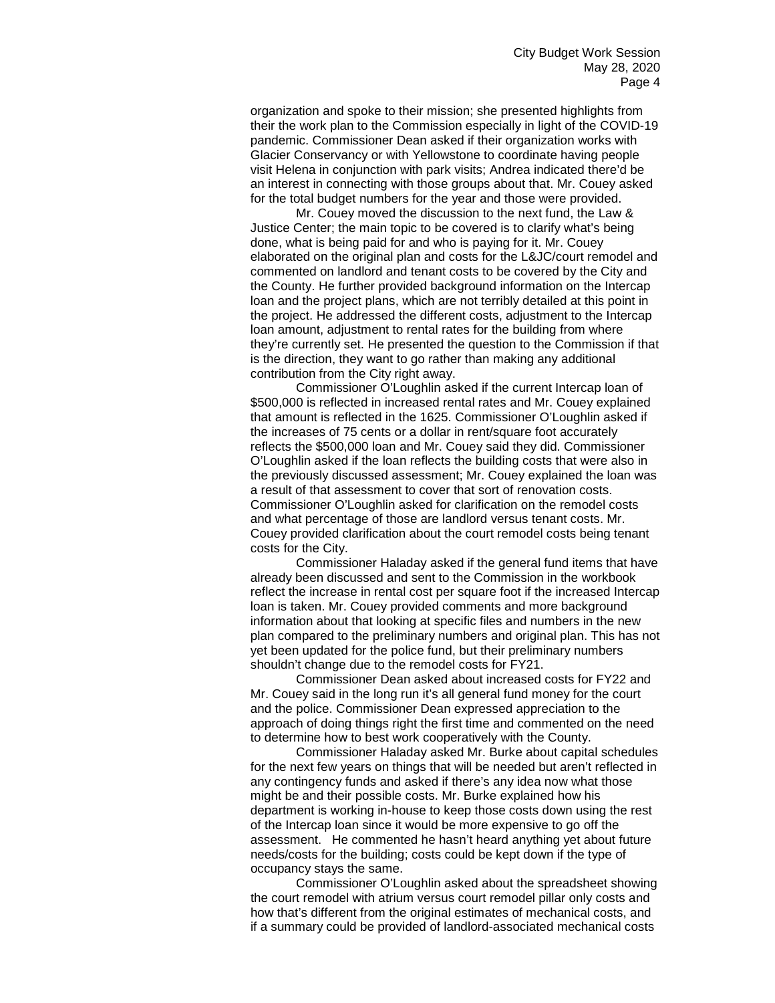organization and spoke to their mission; she presented highlights from their the work plan to the Commission especially in light of the COVID-19 pandemic. Commissioner Dean asked if their organization works with Glacier Conservancy or with Yellowstone to coordinate having people visit Helena in conjunction with park visits; Andrea indicated there'd be an interest in connecting with those groups about that. Mr. Couey asked for the total budget numbers for the year and those were provided.

Mr. Couey moved the discussion to the next fund, the Law & Justice Center; the main topic to be covered is to clarify what's being done, what is being paid for and who is paying for it. Mr. Couey elaborated on the original plan and costs for the L&JC/court remodel and commented on landlord and tenant costs to be covered by the City and the County. He further provided background information on the Intercap loan and the project plans, which are not terribly detailed at this point in the project. He addressed the different costs, adjustment to the Intercap loan amount, adjustment to rental rates for the building from where they're currently set. He presented the question to the Commission if that is the direction, they want to go rather than making any additional contribution from the City right away.

Commissioner O'Loughlin asked if the current Intercap loan of \$500,000 is reflected in increased rental rates and Mr. Couey explained that amount is reflected in the 1625. Commissioner O'Loughlin asked if the increases of 75 cents or a dollar in rent/square foot accurately reflects the \$500,000 loan and Mr. Couey said they did. Commissioner O'Loughlin asked if the loan reflects the building costs that were also in the previously discussed assessment; Mr. Couey explained the loan was a result of that assessment to cover that sort of renovation costs. Commissioner O'Loughlin asked for clarification on the remodel costs and what percentage of those are landlord versus tenant costs. Mr. Couey provided clarification about the court remodel costs being tenant costs for the City.

Commissioner Haladay asked if the general fund items that have already been discussed and sent to the Commission in the workbook reflect the increase in rental cost per square foot if the increased Intercap loan is taken. Mr. Couey provided comments and more background information about that looking at specific files and numbers in the new plan compared to the preliminary numbers and original plan. This has not yet been updated for the police fund, but their preliminary numbers shouldn't change due to the remodel costs for FY21.

Commissioner Dean asked about increased costs for FY22 and Mr. Couey said in the long run it's all general fund money for the court and the police. Commissioner Dean expressed appreciation to the approach of doing things right the first time and commented on the need to determine how to best work cooperatively with the County.

Commissioner Haladay asked Mr. Burke about capital schedules for the next few years on things that will be needed but aren't reflected in any contingency funds and asked if there's any idea now what those might be and their possible costs. Mr. Burke explained how his department is working in-house to keep those costs down using the rest of the Intercap loan since it would be more expensive to go off the assessment. He commented he hasn't heard anything yet about future needs/costs for the building; costs could be kept down if the type of occupancy stays the same.

Commissioner O'Loughlin asked about the spreadsheet showing the court remodel with atrium versus court remodel pillar only costs and how that's different from the original estimates of mechanical costs, and if a summary could be provided of landlord-associated mechanical costs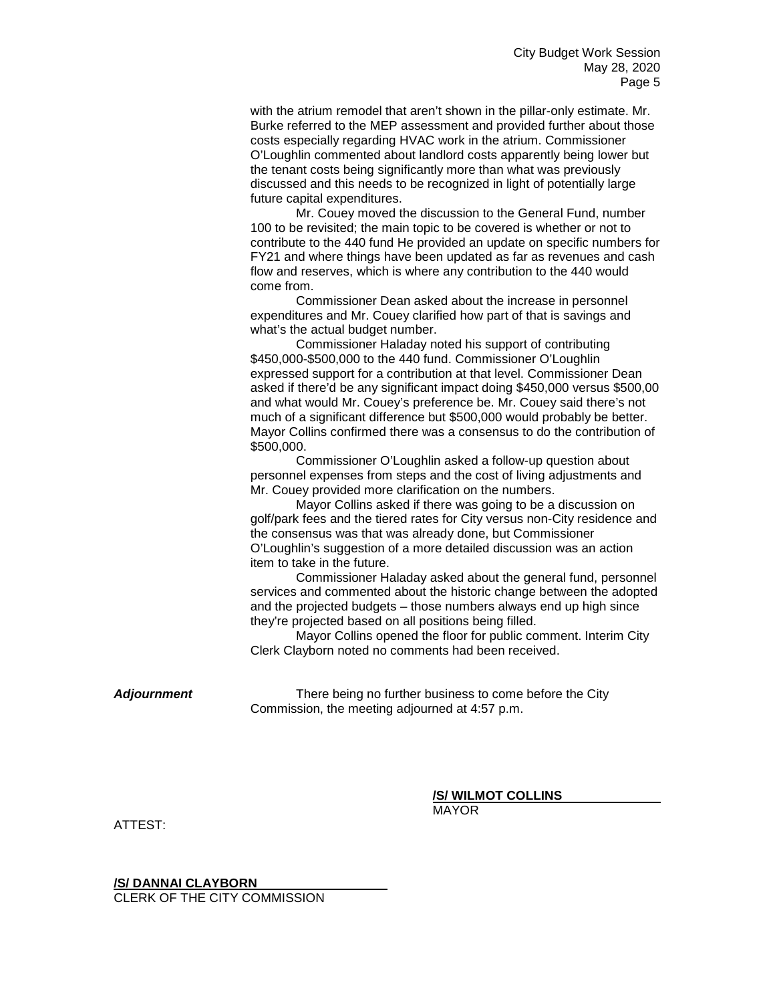with the atrium remodel that aren't shown in the pillar-only estimate. Mr. Burke referred to the MEP assessment and provided further about those costs especially regarding HVAC work in the atrium. Commissioner O'Loughlin commented about landlord costs apparently being lower but the tenant costs being significantly more than what was previously discussed and this needs to be recognized in light of potentially large future capital expenditures.

Mr. Couey moved the discussion to the General Fund, number 100 to be revisited; the main topic to be covered is whether or not to contribute to the 440 fund He provided an update on specific numbers for FY21 and where things have been updated as far as revenues and cash flow and reserves, which is where any contribution to the 440 would come from.

Commissioner Dean asked about the increase in personnel expenditures and Mr. Couey clarified how part of that is savings and what's the actual budget number.

Commissioner Haladay noted his support of contributing \$450,000-\$500,000 to the 440 fund. Commissioner O'Loughlin expressed support for a contribution at that level. Commissioner Dean asked if there'd be any significant impact doing \$450,000 versus \$500,00 and what would Mr. Couey's preference be. Mr. Couey said there's not much of a significant difference but \$500,000 would probably be better. Mayor Collins confirmed there was a consensus to do the contribution of \$500,000.

Commissioner O'Loughlin asked a follow-up question about personnel expenses from steps and the cost of living adjustments and Mr. Couey provided more clarification on the numbers.

Mayor Collins asked if there was going to be a discussion on golf/park fees and the tiered rates for City versus non-City residence and the consensus was that was already done, but Commissioner O'Loughlin's suggestion of a more detailed discussion was an action item to take in the future.

Commissioner Haladay asked about the general fund, personnel services and commented about the historic change between the adopted and the projected budgets – those numbers always end up high since they're projected based on all positions being filled.

Mayor Collins opened the floor for public comment. Interim City Clerk Clayborn noted no comments had been received.

*Adjournment* There being no further business to come before the City Commission, the meeting adjourned at 4:57 p.m.

**/S/ WILMOT COLLINS**

MAYOR

ATTEST:

**/S/ DANNAI CLAYBORN**

CLERK OF THE CITY COMMISSION